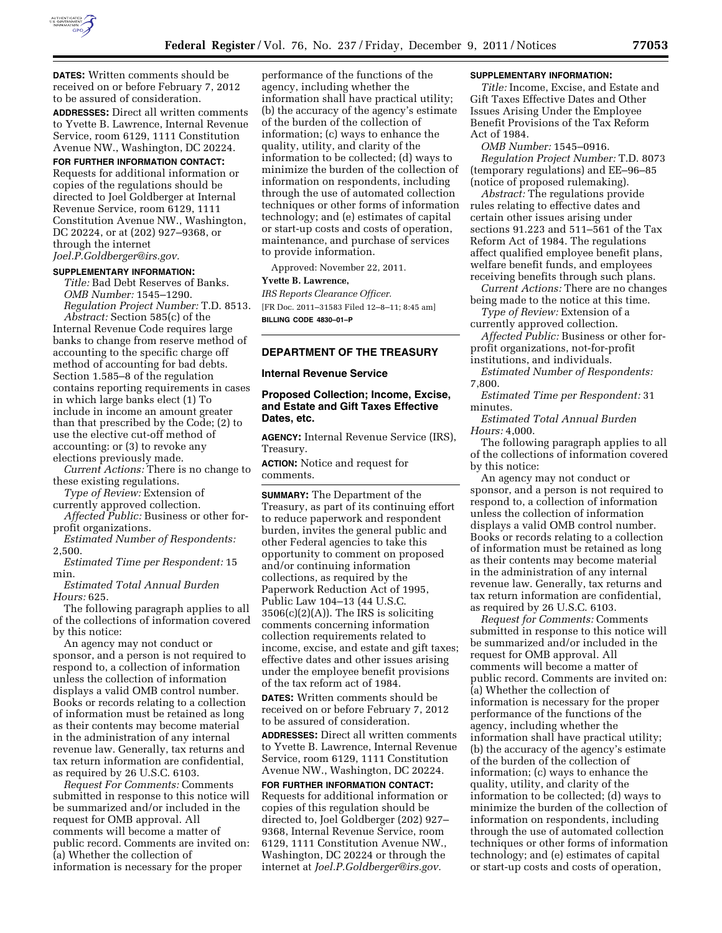

**DATES:** Written comments should be received on or before February 7, 2012 to be assured of consideration.

**ADDRESSES:** Direct all written comments to Yvette B. Lawrence, Internal Revenue Service, room 6129, 1111 Constitution Avenue NW., Washington, DC 20224.

# **FOR FURTHER INFORMATION CONTACT:**

Requests for additional information or copies of the regulations should be directed to Joel Goldberger at Internal Revenue Service, room 6129, 1111 Constitution Avenue NW., Washington, DC 20224, or at (202) 927–9368, or through the internet *[Joel.P.Goldberger@irs.gov.](mailto:Joel.P.Goldberger@irs.gov)* 

### **SUPPLEMENTARY INFORMATION:**

*Title:* Bad Debt Reserves of Banks. *OMB Number:* 1545–1290. *Regulation Project Number:* T.D. 8513.

*Abstract:* Section 585(c) of the Internal Revenue Code requires large banks to change from reserve method of accounting to the specific charge off method of accounting for bad debts. Section 1.585–8 of the regulation contains reporting requirements in cases in which large banks elect (1) To include in income an amount greater than that prescribed by the Code; (2) to use the elective cut-off method of accounting: or (3) to revoke any elections previously made.

*Current Actions:* There is no change to these existing regulations.

*Type of Review:* Extension of currently approved collection.

*Affected Public:* Business or other forprofit organizations.

*Estimated Number of Respondents:*  2,500.

*Estimated Time per Respondent:* 15 min.

*Estimated Total Annual Burden Hours:* 625.

The following paragraph applies to all of the collections of information covered by this notice:

An agency may not conduct or sponsor, and a person is not required to respond to, a collection of information unless the collection of information displays a valid OMB control number. Books or records relating to a collection of information must be retained as long as their contents may become material in the administration of any internal revenue law. Generally, tax returns and tax return information are confidential, as required by 26 U.S.C. 6103.

*Request For Comments:* Comments submitted in response to this notice will be summarized and/or included in the request for OMB approval. All comments will become a matter of public record. Comments are invited on: (a) Whether the collection of information is necessary for the proper

performance of the functions of the agency, including whether the information shall have practical utility; (b) the accuracy of the agency's estimate of the burden of the collection of information; (c) ways to enhance the quality, utility, and clarity of the information to be collected; (d) ways to minimize the burden of the collection of information on respondents, including through the use of automated collection techniques or other forms of information technology; and (e) estimates of capital or start-up costs and costs of operation, maintenance, and purchase of services to provide information.

Approved: November 22, 2011.

# **Yvette B. Lawrence,**

*IRS Reports Clearance Officer.*  [FR Doc. 2011–31583 Filed 12–8–11; 8:45 am] **BILLING CODE 4830–01–P** 

# **DEPARTMENT OF THE TREASURY**

## **Internal Revenue Service**

# **Proposed Collection; Income, Excise, and Estate and Gift Taxes Effective Dates, etc.**

**AGENCY:** Internal Revenue Service (IRS), Treasury.

**ACTION:** Notice and request for comments.

**SUMMARY:** The Department of the Treasury, as part of its continuing effort to reduce paperwork and respondent burden, invites the general public and other Federal agencies to take this opportunity to comment on proposed and/or continuing information collections, as required by the Paperwork Reduction Act of 1995, Public Law 104–13 (44 U.S.C.  $3506(c)(2)(A)$ . The IRS is soliciting comments concerning information collection requirements related to income, excise, and estate and gift taxes; effective dates and other issues arising under the employee benefit provisions of the tax reform act of 1984.

**DATES:** Written comments should be received on or before February 7, 2012 to be assured of consideration.

**ADDRESSES:** Direct all written comments to Yvette B. Lawrence, Internal Revenue Service, room 6129, 1111 Constitution Avenue NW., Washington, DC 20224.

**FOR FURTHER INFORMATION CONTACT:**  Requests for additional information or copies of this regulation should be directed to, Joel Goldberger (202) 927– 9368, Internal Revenue Service, room 6129, 1111 Constitution Avenue NW., Washington, DC 20224 or through the internet at *[Joel.P.Goldberger@irs.gov.](mailto:Joel.P.Goldberger@irs.gov)* 

## **SUPPLEMENTARY INFORMATION:**

*Title:* Income, Excise, and Estate and Gift Taxes Effective Dates and Other Issues Arising Under the Employee Benefit Provisions of the Tax Reform Act of 1984.

*OMB Number:* 1545–0916. *Regulation Project Number:* T.D. 8073 (temporary regulations) and EE–96–85 (notice of proposed rulemaking).

*Abstract:* The regulations provide rules relating to effective dates and certain other issues arising under sections 91.223 and 511–561 of the Tax Reform Act of 1984. The regulations affect qualified employee benefit plans, welfare benefit funds, and employees receiving benefits through such plans.

*Current Actions:* There are no changes being made to the notice at this time.

*Type of Review:* Extension of a currently approved collection.

*Affected Public:* Business or other forprofit organizations, not-for-profit institutions, and individuals.

*Estimated Number of Respondents:*  7,800.

*Estimated Time per Respondent:* 31 minutes.

*Estimated Total Annual Burden Hours:* 4,000.

The following paragraph applies to all of the collections of information covered by this notice:

An agency may not conduct or sponsor, and a person is not required to respond to, a collection of information unless the collection of information displays a valid OMB control number. Books or records relating to a collection of information must be retained as long as their contents may become material in the administration of any internal revenue law. Generally, tax returns and tax return information are confidential, as required by 26 U.S.C. 6103.

*Request for Comments:* Comments submitted in response to this notice will be summarized and/or included in the request for OMB approval. All comments will become a matter of public record. Comments are invited on: (a) Whether the collection of information is necessary for the proper performance of the functions of the agency, including whether the information shall have practical utility; (b) the accuracy of the agency's estimate of the burden of the collection of information; (c) ways to enhance the quality, utility, and clarity of the information to be collected; (d) ways to minimize the burden of the collection of information on respondents, including through the use of automated collection techniques or other forms of information technology; and (e) estimates of capital or start-up costs and costs of operation,